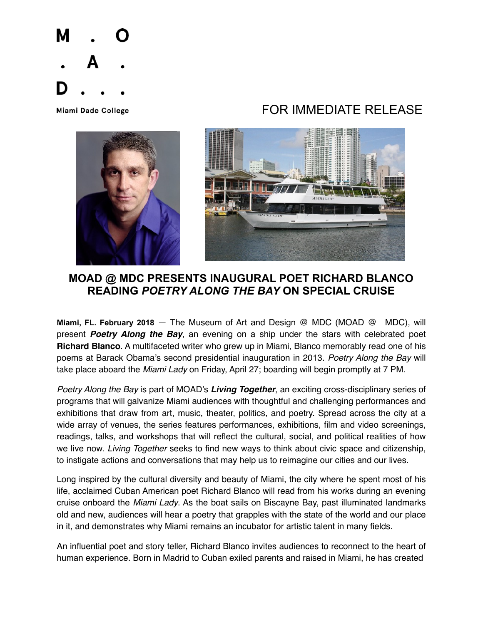

## Miami Dade College **Algebra 1999 TOR IMMEDIATE RELEASE**





## **MOAD @ MDC PRESENTS INAUGURAL POET RICHARD BLANCO READING** *POETRY ALONG THE BAY* **ON SPECIAL CRUISE**

**Miami, FL. February 2018** — The Museum of Art and Design @ MDC (MOAD @ MDC), will present *Poetry Along the Bay*, an evening on a ship under the stars with celebrated poet **Richard Blanco**. A multifaceted writer who grew up in Miami, Blanco memorably read one of his poems at Barack Obama's second presidential inauguration in 2013. *Poetry Along the Bay* will take place aboard the *Miami Lady* on Friday, April 27; boarding will begin promptly at 7 PM.

*Poetry Along the Bay* is part of MOAD's *Living Together*, an exciting cross-disciplinary series of programs that will galvanize Miami audiences with thoughtful and challenging performances and exhibitions that draw from art, music, theater, politics, and poetry. Spread across the city at a wide array of venues, the series features performances, exhibitions, film and video screenings, readings, talks, and workshops that will reflect the cultural, social, and political realities of how we live now. *Living Together* seeks to find new ways to think about civic space and citizenship, to instigate actions and conversations that may help us to reimagine our cities and our lives.

Long inspired by the cultural diversity and beauty of Miami, the city where he spent most of his life, acclaimed Cuban American poet Richard Blanco will read from his works during an evening cruise onboard the *Miami Lady*. As the boat sails on Biscayne Bay, past illuminated landmarks old and new, audiences will hear a poetry that grapples with the state of the world and our place in it, and demonstrates why Miami remains an incubator for artistic talent in many fields.

An influential poet and story teller, Richard Blanco invites audiences to reconnect to the heart of human experience. Born in Madrid to Cuban exiled parents and raised in Miami, he has created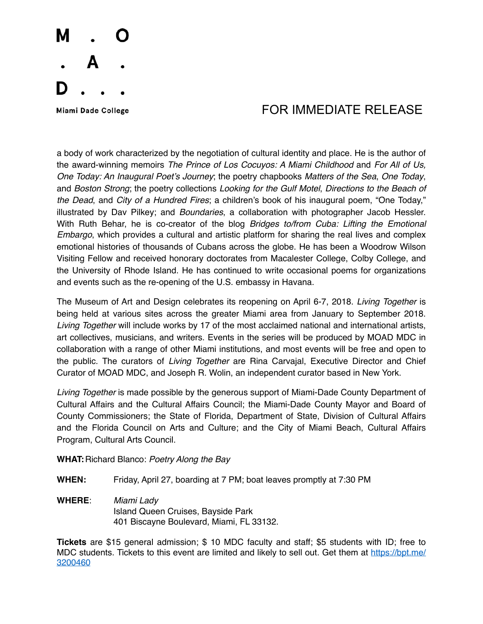

## Miami Dade College **Algebra 1999 State 19th Contract FOR IMMEDIATE RELEASE**

a body of work characterized by the negotiation of cultural identity and place. He is the author of the award-winning memoirs *The Prince of Los Cocuyos: A Miami Childhood* and *For All of Us, One Today: An Inaugural Poet's Journey*; the poetry chapbooks *Matters of the Sea*, *One Today*, and *Boston Strong*; the poetry collections *Looking for the Gulf Motel*, *Directions to the Beach of the Dead*, and *City of a Hundred Fires*; a children's book of his inaugural poem, "One Today," illustrated by Dav Pilkey; and *Boundaries*, a collaboration with photographer Jacob Hessler. With Ruth Behar, he is co-creator of the blog *Bridges to/from Cuba: Lifting the Emotional Embargo*, which provides a cultural and artistic platform for sharing the real lives and complex emotional histories of thousands of Cubans across the globe. He has been a Woodrow Wilson Visiting Fellow and received honorary doctorates from Macalester College, Colby College, and the University of Rhode Island. He has continued to write occasional poems for organizations and events such as the re-opening of the U.S. embassy in Havana.

The Museum of Art and Design celebrates its reopening on April 6-7, 2018. *Living Together* is being held at various sites across the greater Miami area from January to September 2018. *Living Together* will include works by 17 of the most acclaimed national and international artists, art collectives, musicians, and writers. Events in the series will be produced by MOAD MDC in collaboration with a range of other Miami institutions, and most events will be free and open to the public. The curators of *Living Together* are Rina Carvajal, Executive Director and Chief Curator of MOAD MDC, and Joseph R. Wolin, an independent curator based in New York.

*Living Together* is made possible by the generous support of Miami-Dade County Department of Cultural Affairs and the Cultural Affairs Council; the Miami-Dade County Mayor and Board of County Commissioners; the State of Florida, Department of State, Division of Cultural Affairs and the Florida Council on Arts and Culture; and the City of Miami Beach, Cultural Affairs Program, Cultural Arts Council.

**WHAT:**Richard Blanco: *Poetry Along the Bay*

**WHEN:** Friday, April 27, boarding at 7 PM; boat leaves promptly at 7:30 PM

**WHERE**: *Miami Lady* Island Queen Cruises, Bayside Park 401 Biscayne Boulevard, Miami, FL 33132.

**Tickets** are \$15 general admission; \$ 10 MDC faculty and staff; \$5 students with ID; free to MDC students. Tickets to this event are limited and likely to sell out. Get them at [https://bpt.me/](https://bpt.me/3200460) [3200460](https://bpt.me/3200460)